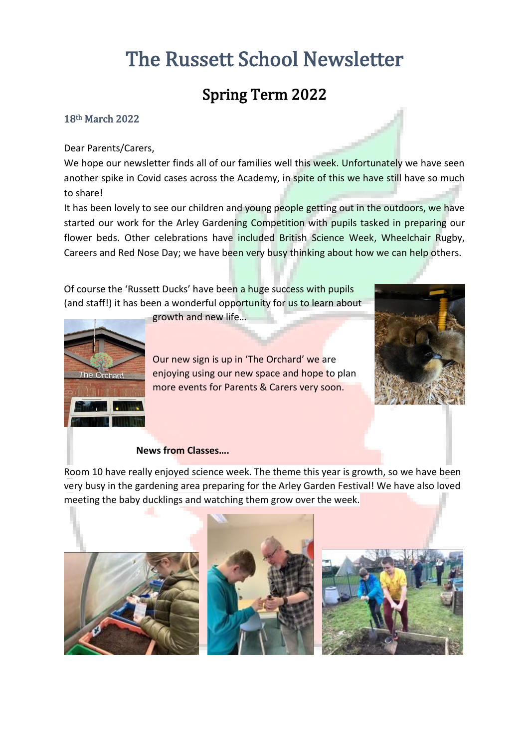# The Russett School Newsletter

# Spring Term 2022

### 18th March 2022

#### Dear Parents/Carers,

We hope our newsletter finds all of our families well this week. Unfortunately we have seen another spike in Covid cases across the Academy, in spite of this we have still have so much to share!

It has been lovely to see our children and young people getting out in the outdoors, we have started our work for the Arley Gardening Competition with pupils tasked in preparing our flower beds. Other celebrations have included British Science Week, Wheelchair Rugby, Careers and Red Nose Day; we have been very busy thinking about how we can help others.

Of course the 'Russett Ducks' have been a huge success with pupils (and staff!) it has been a wonderful opportunity for us to learn about

growth and new life…



Our new sign is up in 'The Orchard' we are enjoying using our new space and hope to plan more events for Parents & Carers very soon.



#### **News from Classes….**

Room 10 have really enjoyed science week. The theme this year is growth, so we have been very busy in the gardening area preparing for the Arley Garden Festival! We have also loved meeting the baby ducklings and watching them grow over the week.

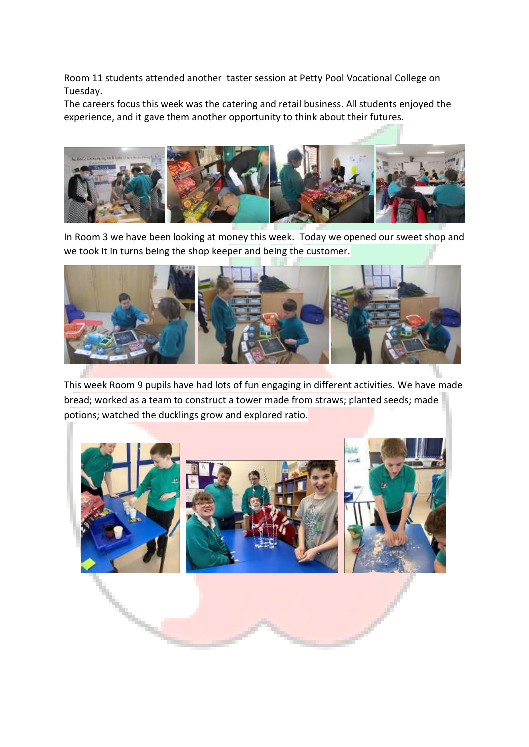Room 11 students attended another taster session at Petty Pool Vocational College on Tuesday.

The careers focus this week was the catering and retail business. All students enjoyed the experience, and it gave them another opportunity to think about their futures.



In Room 3 we have been looking at money this week. Today we opened our sweet shop and we took it in turns being the shop keeper and being the customer.



This week Room 9 pupils have had lots of fun engaging in different activities. We have made bread; worked as a team to construct a tower made from straws; planted seeds; made potions; watched the ducklings grow and explored ratio.

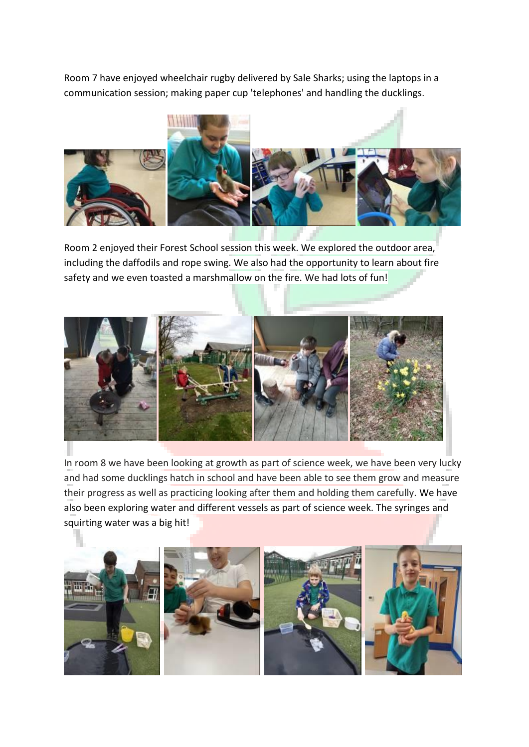Room 7 have enjoyed wheelchair rugby delivered by Sale Sharks; using the laptops in a communication session; making paper cup 'telephones' and handling the ducklings.



Room 2 enjoyed their Forest School session this week. We explored the outdoor area, including the daffodils and rope swing. We also had the opportunity to learn about fire safety and we even toasted a marshmallow on the fire. We had lots of fun!



In room 8 we have been looking at growth as part of science week, we have been very lucky and had some ducklings hatch in school and have been able to see them grow and measure their progress as well as practicing looking after them and holding them carefully. We have also been exploring water and different vessels as part of science week. The syringes and squirting water was a big hit!

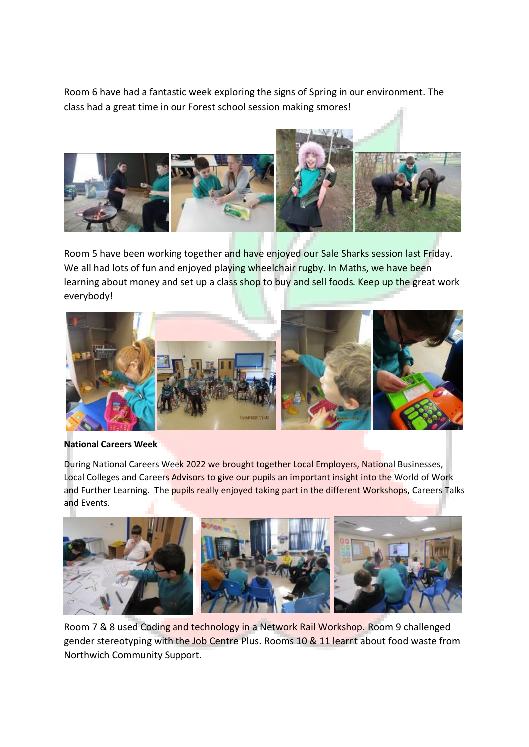Room 6 have had a fantastic week exploring the signs of Spring in our environment. The class had a great time in our Forest school session making smores!



Room 5 have been working together and have enjoyed our Sale Sharks session last Friday. We all had lots of fun and enjoyed playing wheelchair rugby. In Maths, we have been learning about money and set up a class shop to buy and sell foods. Keep up the great work everybody!



#### **National Careers Week**

During National Careers Week 2022 we brought together Local Employers, National Businesses, Local Colleges and Careers Advisors to give our pupils an important insight into the World of Work and Further Learning. The pupils really enjoyed taking part in the different Workshops, Careers Talks and Events.



Room 7 & 8 used Coding and technology in a Network Rail Workshop. Room 9 challenged gender stereotyping with the Job Centre Plus. Rooms 10 & 11 learnt about food waste from Northwich Community Support.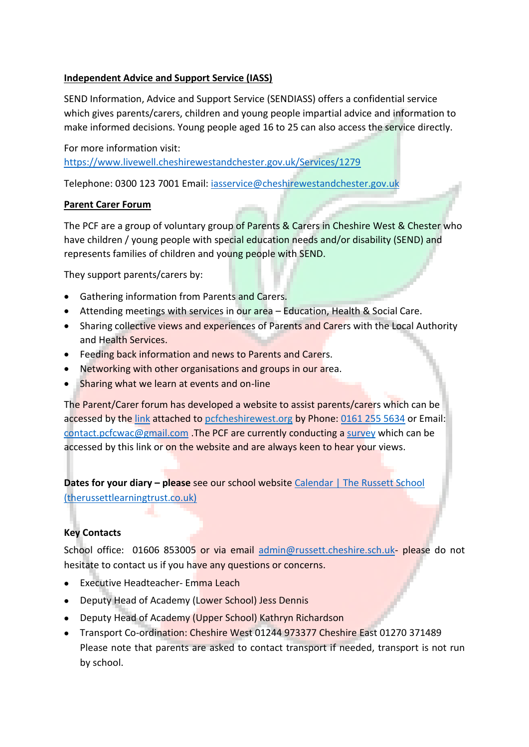## **Independent Advice and Support Service (IASS)**

SEND Information, Advice and Support Service (SENDIASS) offers a confidential service which gives parents/carers, children and young people impartial advice and information to make informed decisions. Young people aged 16 to 25 can also access the service directly.

For more information visit: <https://www.livewell.cheshirewestandchester.gov.uk/Services/1279>

Telephone: 0300 123 7001 Email: [iasservice@cheshirewestandchester.gov.uk](mailto:iasservice@cheshirewestandchester.gov.uk)

# **Parent Carer Forum**

The PCF are a group of voluntary group of Parents & Carers in Cheshire West & Chester who have children / young people with special education needs and/or disability (SEND) and represents families of children and young people with SEND.

They support parents/carers by:

- Gathering information from Parents and Carers.
- Attending meetings with services in our area Education, Health & Social Care.
- Sharing collective views and experiences of Parents and Carers with the Local Authority and Health Services.
- Feeding back information and news to Parents and Carers.
- Networking with other organisations and groups in our area.
- Sharing what we learn at events and on-line

The Parent/Carer forum has developed a website to assist parents/carers which can be accessed by th[e link](https://www.pcfcheshirewest.org/who-we-are) attached to pcfcheshirewest.org by Phone[: 0161 255 5634](tel:0161%20255%205634) or Email: [contact.pcfcwac@gmail.com](mailto:contact.pcfcwac@gmail.com) .The PCF are currently conducting a [survey](https://www.pcfcheshirewest.org/survey) which can be accessed by this link or on the website and are always keen to hear your views.

**Dates for your diary – please** see our school website Calendar | The Russett School [\(therussettlearningtrust.co.uk\)](https://www.therussettlearningtrust.co.uk/russett-school/parents/calendar/)

# **Key Contacts**

School office: 01606 853005 or via email [admin@russett.cheshire.sch.uk-](mailto:admin@russett.cheshire.sch.uk) please do not hesitate to contact us if you have any questions or concerns.

- Executive Headteacher- Emma Leach
- Deputy Head of Academy (Lower School) Jess Dennis
- Deputy Head of Academy (Upper School) Kathryn Richardson
- Transport Co-ordination: Cheshire West 01244 973377 Cheshire East 01270 371489 Please note that parents are asked to contact transport if needed, transport is not run by school.